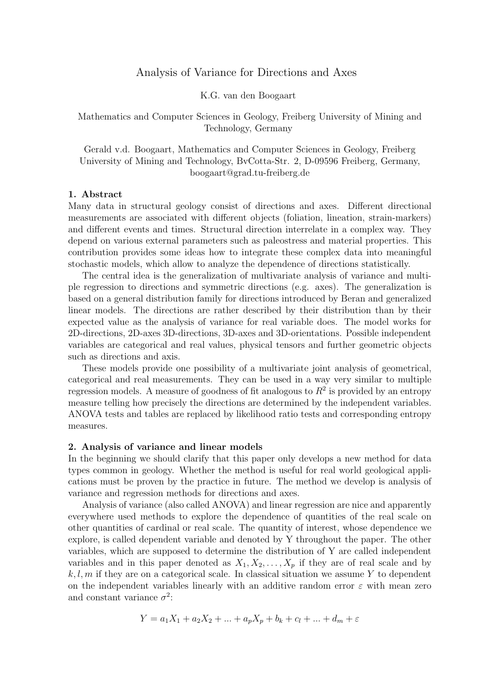# Analysis of Variance for Directions and Axes

K.G. van den Boogaart

Mathematics and Computer Sciences in Geology, Freiberg University of Mining and Technology, Germany

Gerald v.d. Boogaart, Mathematics and Computer Sciences in Geology, Freiberg University of Mining and Technology, BvCotta-Str. 2, D-09596 Freiberg, Germany, boogaart@grad.tu-freiberg.de

### 1. Abstract

Many data in structural geology consist of directions and axes. Different directional measurements are associated with different objects (foliation, lineation, strain-markers) and different events and times. Structural direction interrelate in a complex way. They depend on various external parameters such as paleostress and material properties. This contribution provides some ideas how to integrate these complex data into meaningful stochastic models, which allow to analyze the dependence of directions statistically.

The central idea is the generalization of multivariate analysis of variance and multiple regression to directions and symmetric directions (e.g. axes). The generalization is based on a general distribution family for directions introduced by Beran and generalized linear models. The directions are rather described by their distribution than by their expected value as the analysis of variance for real variable does. The model works for 2D-directions, 2D-axes 3D-directions, 3D-axes and 3D-orientations. Possible independent variables are categorical and real values, physical tensors and further geometric objects such as directions and axis.

These models provide one possibility of a multivariate joint analysis of geometrical, categorical and real measurements. They can be used in a way very similar to multiple regression models. A measure of goodness of fit analogous to  $R^2$  is provided by an entropy measure telling how precisely the directions are determined by the independent variables. ANOVA tests and tables are replaced by likelihood ratio tests and corresponding entropy measures.

### 2. Analysis of variance and linear models

In the beginning we should clarify that this paper only develops a new method for data types common in geology. Whether the method is useful for real world geological applications must be proven by the practice in future. The method we develop is analysis of variance and regression methods for directions and axes.

Analysis of variance (also called ANOVA) and linear regression are nice and apparently everywhere used methods to explore the dependence of quantities of the real scale on other quantities of cardinal or real scale. The quantity of interest, whose dependence we explore, is called dependent variable and denoted by Y throughout the paper. The other variables, which are supposed to determine the distribution of Y are called independent variables and in this paper denoted as  $X_1, X_2, \ldots, X_p$  if they are of real scale and by  $k, l, m$  if they are on a categorical scale. In classical situation we assume Y to dependent on the independent variables linearly with an additive random error  $\varepsilon$  with mean zero and constant variance  $\sigma^2$ :

$$
Y = a_1 X_1 + a_2 X_2 + \dots + a_p X_p + b_k + c_l + \dots + d_m + \varepsilon
$$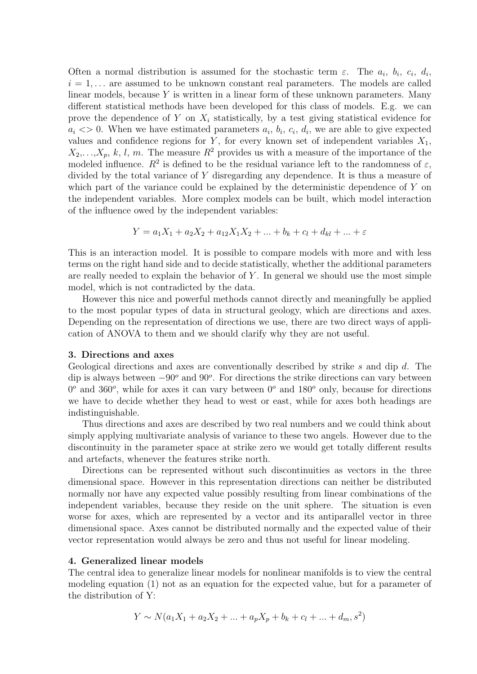Often a normal distribution is assumed for the stochastic term  $\varepsilon$ . The  $a_i$ ,  $b_i$ ,  $c_i$ ,  $d_i$ ,  $i = 1, \ldots$  are assumed to be unknown constant real parameters. The models are called linear models, because Y is written in a linear form of these unknown parameters. Many different statistical methods have been developed for this class of models. E.g. we can prove the dependence of Y on  $X_i$  statistically, by a test giving statistical evidence for  $a_i \ll 0$ . When we have estimated parameters  $a_i, b_i, c_i, d_i$ , we are able to give expected values and confidence regions for Y, for every known set of independent variables  $X_1$ ,  $X_2, \ldots, X_p, k, l, m$ . The measure  $R^2$  provides us with a measure of the importance of the modeled influence.  $R^2$  is defined to be the residual variance left to the randomness of  $\varepsilon$ , divided by the total variance of Y disregarding any dependence. It is thus a measure of which part of the variance could be explained by the deterministic dependence of Y on the independent variables. More complex models can be built, which model interaction of the influence owed by the independent variables:

$$
Y = a_1X_1 + a_2X_2 + a_{12}X_1X_2 + \dots + b_k + c_l + d_{kl} + \dots + \varepsilon
$$

This is an interaction model. It is possible to compare models with more and with less terms on the right hand side and to decide statistically, whether the additional parameters are really needed to explain the behavior of  $Y$ . In general we should use the most simple model, which is not contradicted by the data.

However this nice and powerful methods cannot directly and meaningfully be applied to the most popular types of data in structural geology, which are directions and axes. Depending on the representation of directions we use, there are two direct ways of application of ANOVA to them and we should clarify why they are not useful.

### 3. Directions and axes

Geological directions and axes are conventionally described by strike s and dip d. The dip is always between  $-90^{\circ}$  and  $90^{\circ}$ . For directions the strike directions can vary between  $0^{\circ}$  and 360<sup>o</sup>, while for axes it can vary between  $0^{\circ}$  and 180<sup>o</sup> only, because for directions we have to decide whether they head to west or east, while for axes both headings are indistinguishable.

Thus directions and axes are described by two real numbers and we could think about simply applying multivariate analysis of variance to these two angels. However due to the discontinuity in the parameter space at strike zero we would get totally different results and artefacts, whenever the features strike north.

Directions can be represented without such discontinuities as vectors in the three dimensional space. However in this representation directions can neither be distributed normally nor have any expected value possibly resulting from linear combinations of the independent variables, because they reside on the unit sphere. The situation is even worse for axes, which are represented by a vector and its antiparallel vector in three dimensional space. Axes cannot be distributed normally and the expected value of their vector representation would always be zero and thus not useful for linear modeling.

### 4. Generalized linear models

The central idea to generalize linear models for nonlinear manifolds is to view the central modeling equation (1) not as an equation for the expected value, but for a parameter of the distribution of Y:

$$
Y \sim N(a_1X_1 + a_2X_2 + \dots + a_pX_p + b_k + c_l + \dots + d_m, s^2)
$$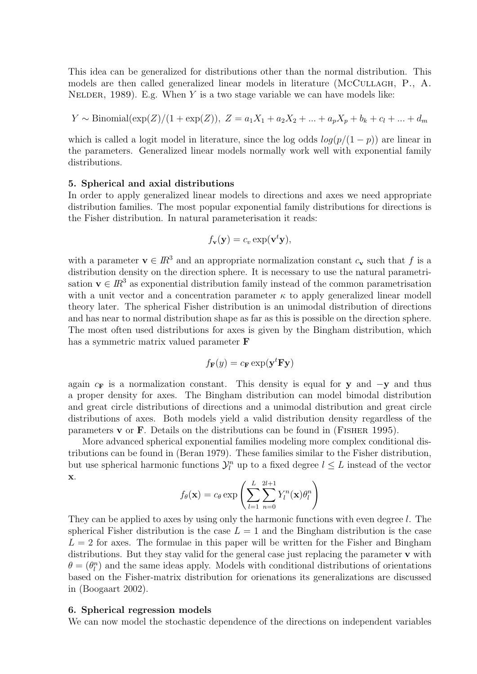This idea can be generalized for distributions other than the normal distribution. This models are then called generalized linear models in literature (MCCULLAGH, P., A. NELDER, 1989). E.g. When Y is a two stage variable we can have models like:

$$
Y \sim \text{Binomial}(\exp(Z)/(1+\exp(Z)), Z = a_1X_1 + a_2X_2 + ... + a_pX_p + b_k + c_l + ... + d_m)
$$

which is called a logit model in literature, since the log odds  $log(p/(1-p))$  are linear in the parameters. Generalized linear models normally work well with exponential family distributions.

### 5. Spherical and axial distributions

In order to apply generalized linear models to directions and axes we need appropriate distribution families. The most popular exponential family distributions for directions is the Fisher distribution. In natural parameterisation it reads:

$$
f_{\mathbf{v}}(\mathbf{y}) = c_v \exp(\mathbf{v}^t \mathbf{y}),
$$

with a parameter  $\mathbf{v} \in \mathbb{R}^3$  and an appropriate normalization constant  $c_{\mathbf{v}}$  such that f is a distribution density on the direction sphere. It is necessary to use the natural parametrisation  $\mathbf{v} \in \mathbb{R}^3$  as exponential distribution family instead of the common parametrisation with a unit vector and a concentration parameter  $\kappa$  to apply generalized linear modell theory later. The spherical Fisher distribution is an unimodal distribution of directions and has near to normal distribution shape as far as this is possible on the direction sphere. The most often used distributions for axes is given by the Bingham distribution, which has a symmetric matrix valued parameter F

$$
f_{\mathbf{F}}(y) = c_{\mathbf{F}} \exp(\mathbf{y}^t \mathbf{F} \mathbf{y})
$$

again  $c_F$  is a normalization constant. This density is equal for y and  $-y$  and thus a proper density for axes. The Bingham distribution can model bimodal distribution and great circle distributions of directions and a unimodal distribution and great circle distributions of axes. Both models yield a valid distribution density regardless of the parameters  $\bf{v}$  or  $\bf{F}$ . Details on the distributions can be found in (FISHER 1995).

More advanced spherical exponential families modeling more complex conditional distributions can be found in (Beran 1979). These families similar to the Fisher distribution, but use spherical harmonic functions  $\mathcal{Y}_l^n$  up to a fixed degree  $l \leq L$  instead of the vector x.

$$
f_{\theta}(\mathbf{x}) = c_{\theta} \exp \left( \sum_{l=1}^{L} \sum_{n=0}^{2l+1} Y_{l}^{n}(\mathbf{x}) \theta_{l}^{n} \right)
$$

They can be applied to axes by using only the harmonic functions with even degree l. The spherical Fisher distribution is the case  $L = 1$  and the Bingham distribution is the case  $L = 2$  for axes. The formulae in this paper will be written for the Fisher and Bingham distributions. But they stay valid for the general case just replacing the parameter v with  $\theta = (\theta_l^n)$  and the same ideas apply. Models with conditional distributions of orientations based on the Fisher-matrix distribution for orienations its generalizations are discussed in (Boogaart 2002).

### 6. Spherical regression models

We can now model the stochastic dependence of the directions on independent variables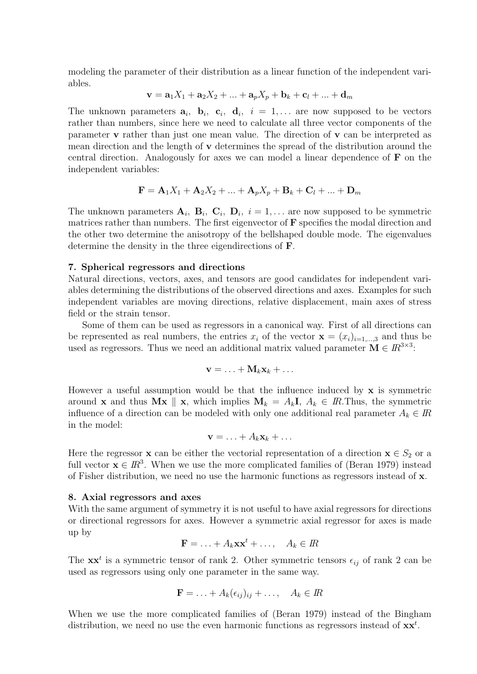modeling the parameter of their distribution as a linear function of the independent variables.

$$
\mathbf{v} = \mathbf{a}_1 X_1 + \mathbf{a}_2 X_2 + \dots + \mathbf{a}_p X_p + \mathbf{b}_k + \mathbf{c}_l + \dots + \mathbf{d}_m
$$

The unknown parameters  $a_i$ ,  $b_i$ ,  $c_i$ ,  $d_i$ ,  $i = 1,...$  are now supposed to be vectors rather than numbers, since here we need to calculate all three vector components of the parameter v rather than just one mean value. The direction of v can be interpreted as mean direction and the length of v determines the spread of the distribution around the central direction. Analogously for axes we can model a linear dependence of F on the independent variables:

$$
\mathbf{F} = \mathbf{A}_1 X_1 + \mathbf{A}_2 X_2 + \dots + \mathbf{A}_p X_p + \mathbf{B}_k + \mathbf{C}_l + \dots + \mathbf{D}_m
$$

The unknown parameters  $A_i$ ,  $B_i$ ,  $C_i$ ,  $D_i$ ,  $i = 1,...$  are now supposed to be symmetric matrices rather than numbers. The first eigenvector of  $\bf{F}$  specifies the modal direction and the other two determine the anisotropy of the bellshaped double mode. The eigenvalues determine the density in the three eigendirections of F.

### 7. Spherical regressors and directions

Natural directions, vectors, axes, and tensors are good candidates for independent variables determining the distributions of the observed directions and axes. Examples for such independent variables are moving directions, relative displacement, main axes of stress field or the strain tensor.

Some of them can be used as regressors in a canonical way. First of all directions can be represented as real numbers, the entries  $x_i$  of the vector  $\mathbf{x} = (x_i)_{i=1,\dots,3}$  and thus be used as regressors. Thus we need an additional matrix valued parameter  $\mathbf{M} \in I\!R^{3\times 3}$ :

$$
\mathbf{v} = \ldots + \mathbf{M}_k \mathbf{x}_k + \ldots
$$

However a useful assumption would be that the influence induced by  $x$  is symmetric around **x** and thus M**x**  $\parallel$  **x**, which implies  $M_k = A_k I$ ,  $A_k \in I\!R$ . Thus, the symmetric influence of a direction can be modeled with only one additional real parameter  $A_k \in \mathbb{R}$ in the model:

$$
\mathbf{v} = \ldots + A_k \mathbf{x}_k + \ldots
$$

Here the regressor **x** can be either the vectorial representation of a direction  $\mathbf{x} \in S_2$  or a full vector  $\mathbf{x} \in \mathbb{R}^3$ . When we use the more complicated families of (Beran 1979) instead of Fisher distribution, we need no use the harmonic functions as regressors instead of x.

### 8. Axial regressors and axes

With the same argument of symmetry it is not useful to have axial regressors for directions or directional regressors for axes. However a symmetric axial regressor for axes is made up by

$$
\mathbf{F} = \ldots + A_k \mathbf{x} \mathbf{x}^t + \ldots, \quad A_k \in \mathbb{R}
$$

The  $\mathbf{x}^t$  is a symmetric tensor of rank 2. Other symmetric tensors  $\epsilon_{ij}$  of rank 2 can be used as regressors using only one parameter in the same way.

$$
\mathbf{F} = \ldots + A_k(\epsilon_{ij})_{ij} + \ldots, \quad A_k \in \mathbb{R}
$$

When we use the more complicated families of (Beran 1979) instead of the Bingham distribution, we need no use the even harmonic functions as regressors instead of  $xx<sup>t</sup>$ .